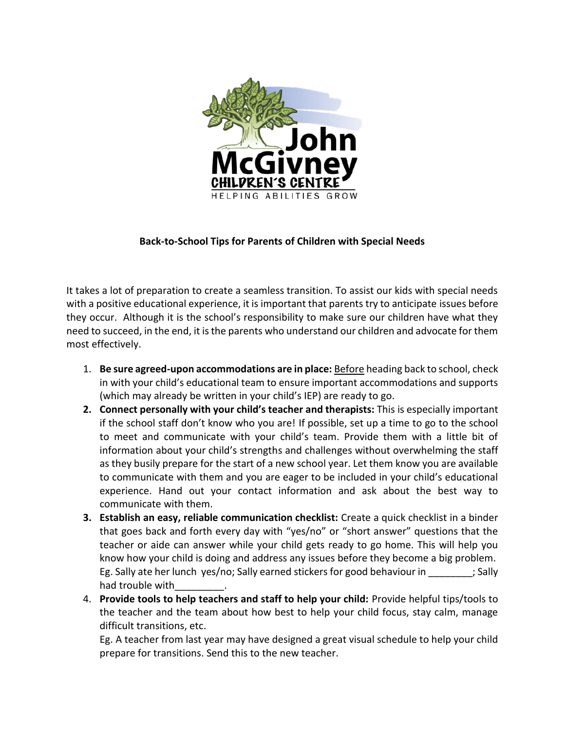

## **Back-to-School Tips for Parents of Children with Special Needs**

It takes a lot of preparation to create a seamless transition. To assist our kids with special needs with a positive educational experience, it is important that parents try to anticipate issues before they occur. Although it is the school's responsibility to make sure our children have what they need to succeed, in the end, it is the parents who understand our children and advocate for them most effectively.

- 1. **Be sure agreed-upon accommodations are in place:** Before heading back to school, check in with your child's educational team to ensure important accommodations and supports (which may already be written in your child's IEP) are ready to go.
- **2. Connect personally with your child's teacher and therapists:** This is especially important if the school staff don't know who you are! If possible, set up a time to go to the school to meet and communicate with your child's team. Provide them with a little bit of information about your child's strengths and challenges without overwhelming the staff as they busily prepare for the start of a new school year. Let them know you are available to communicate with them and you are eager to be included in your child's educational experience. Hand out your contact information and ask about the best way to communicate with them.
- **3. Establish an easy, reliable communication checklist:** Create a quick checklist in a binder that goes back and forth every day with "yes/no" or "short answer" questions that the teacher or aide can answer while your child gets ready to go home. This will help you know how your child is doing and address any issues before they become a big problem. Eg. Sally ate her lunch yes/no; Sally earned stickers for good behaviour in  $\hspace{1.5cm}$ ; Sally had trouble with
- 4. **Provide tools to help teachers and staff to help your child:** Provide helpful tips/tools to the teacher and the team about how best to help your child focus, stay calm, manage difficult transitions, etc.

Eg. A teacher from last year may have designed a great visual schedule to help your child prepare for transitions. Send this to the new teacher.